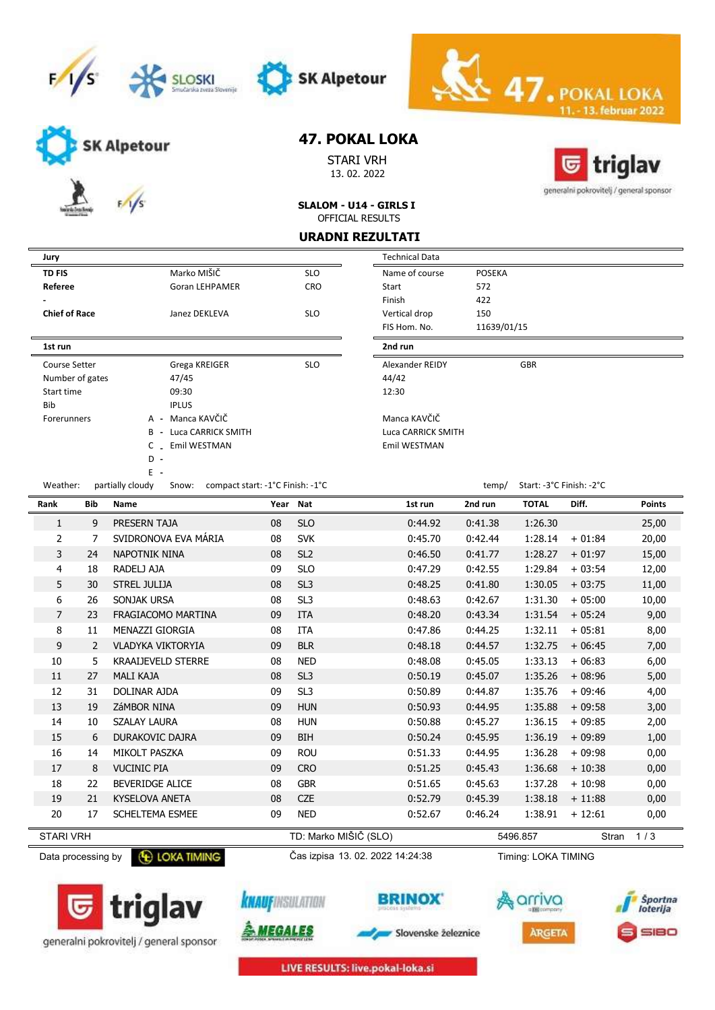





SK Alpetour

STARI VRH 13. 02. 2022



13. februar 2022

generalni pokrovitelj / general sponsor

SLALOM - U14 - GIRLS I OFFICIAL RESULTS

#### URADNI REZULTATI

| Jury                 |                                   |            | <b>Technical Data</b> |               |
|----------------------|-----------------------------------|------------|-----------------------|---------------|
| <b>TD FIS</b>        | Marko MIŠIČ                       | <b>SLO</b> | Name of course        | <b>POSEKA</b> |
| Referee              | <b>Goran LEHPAMER</b>             | <b>CRO</b> | Start                 | 572           |
|                      |                                   |            | Finish                | 422           |
| <b>Chief of Race</b> | Janez DEKLEVA                     | <b>SLO</b> | Vertical drop         | 150           |
|                      |                                   |            | FIS Hom. No.          | 11639/0       |
| 1st run              |                                   |            | 2nd run               |               |
| <b>Course Setter</b> | Grega KREIGER                     | <b>SLO</b> | Alexander REIDY       |               |
| Number of gates      | 47/45                             |            | 44/42                 |               |
| Start time           | 09:30                             |            | 12:30                 |               |
| <b>Bib</b>           | <b>IPLUS</b>                      |            |                       |               |
| <b>Forerunners</b>   | Manca KAVČIČ<br>A -               |            | Manca KAVČIČ          |               |
|                      | Luca CARRICK SMITH<br>B<br>$\sim$ |            | Luca CARRICK SMITH    |               |
|                      | C Emil WESTMAN                    |            | Emil WESTMAN          |               |
|                      | D -                               |            |                       |               |
|                      | $E -$                             |            |                       |               |

| Referee              |                  | <b>Goran LEHPAMER</b>                  | <b>CRO</b> | Start              | 572         |                          |
|----------------------|------------------|----------------------------------------|------------|--------------------|-------------|--------------------------|
| ۰                    |                  |                                        |            | Finish             | 422         |                          |
| <b>Chief of Race</b> |                  | Janez DEKLEVA                          | <b>SLO</b> | Vertical drop      | 150         |                          |
|                      |                  |                                        |            | FIS Hom. No.       | 11639/01/15 |                          |
| 1st run              |                  |                                        |            | 2nd run            |             |                          |
| Course Setter        |                  | Grega KREIGER                          | <b>SLO</b> | Alexander REIDY    |             | <b>GBR</b>               |
| Number of gates      |                  | 47/45                                  |            | 44/42              |             |                          |
| Start time           |                  | 09:30                                  |            | 12:30              |             |                          |
| Bib                  |                  | <b>IPLUS</b>                           |            |                    |             |                          |
| Forerunners          | A -              | Manca KAVČIČ                           |            | Manca KAVČIČ       |             |                          |
|                      | B -              | Luca CARRICK SMITH                     |            | Luca CARRICK SMITH |             |                          |
|                      |                  | C Emil WESTMAN                         |            | Emil WESTMAN       |             |                          |
|                      | $D -$            |                                        |            |                    |             |                          |
|                      | $E -$            |                                        |            |                    |             |                          |
| Weather:             | partially cloudy | Snow: compact start: -1°C Finish: -1°C |            |                    | temp/       | Start: -3°C Finish: -2°C |

 $\leq 47.$ POI

|                  |     | partially cloudy<br>$5.00$ w. Compact start. I Crimsin. I C |          |                       |         | $\frac{1}{2}$ |              |           |               |
|------------------|-----|-------------------------------------------------------------|----------|-----------------------|---------|---------------|--------------|-----------|---------------|
| Rank             | Bib | Name                                                        | Year Nat |                       | 1st run | 2nd run       | <b>TOTAL</b> | Diff.     | <b>Points</b> |
| 1                | 9   | PRESERN TAJA                                                | 08       | <b>SLO</b>            | 0:44.92 | 0:41.38       | 1:26.30      |           | 25,00         |
| $\overline{2}$   | 7   | SVIDRONOVA EVA MÁRIA                                        | 08       | <b>SVK</b>            | 0:45.70 | 0:42.44       | 1:28.14      | $+01:84$  | 20,00         |
| 3                | 24  | <b>NAPOTNIK NINA</b>                                        | 08       | SL <sub>2</sub>       | 0:46.50 | 0:41.77       | 1:28.27      | $+01:97$  | 15,00         |
| 4                | 18  | RADELJ AJA                                                  | 09       | <b>SLO</b>            | 0:47.29 | 0:42.55       | 1:29.84      | $+03:54$  | 12,00         |
| 5                | 30  | <b>STREL JULIJA</b>                                         | 08       | SL <sub>3</sub>       | 0:48.25 | 0:41.80       | 1:30.05      | $+03:75$  | 11,00         |
| 6                | 26  | SONJAK URSA                                                 | 08       | SL <sub>3</sub>       | 0:48.63 | 0:42.67       | 1:31.30      | $+05:00$  | 10,00         |
| 7                | 23  | FRAGIACOMO MARTINA                                          | 09       | <b>ITA</b>            | 0:48.20 | 0:43.34       | 1:31.54      | $+05:24$  | 9,00          |
| 8                | 11  | MENAZZI GIORGIA                                             | 08       | <b>ITA</b>            | 0:47.86 | 0:44.25       | 1:32.11      | $+05:81$  | 8,00          |
| 9                | 2   | <b>VLADYKA VIKTORYIA</b>                                    | 09       | <b>BLR</b>            | 0:48.18 | 0:44.57       | 1:32.75      | $+06:45$  | 7,00          |
| 10               | 5.  | <b>KRAAIJEVELD STERRE</b>                                   | 08       | <b>NED</b>            | 0:48.08 | 0:45.05       | 1:33.13      | $+06:83$  | 6,00          |
| 11               | 27  | <b>MALI KAJA</b>                                            | 08       | SL <sub>3</sub>       | 0:50.19 | 0:45.07       | 1:35.26      | $+08:96$  | 5,00          |
| 12               | 31  | DOLINAR AJDA                                                | 09       | SL <sub>3</sub>       | 0:50.89 | 0:44.87       | 1:35.76      | $+09:46$  | 4,00          |
| 13               | 19  | ZáMBOR NINA                                                 | 09       | <b>HUN</b>            | 0:50.93 | 0:44.95       | 1:35.88      | $+09:58$  | 3,00          |
| 14               | 10  | <b>SZALAY LAURA</b>                                         | 08       | <b>HUN</b>            | 0:50.88 | 0:45.27       | 1:36.15      | $+09:85$  | 2,00          |
| 15               | 6   | <b>DURAKOVIC DAJRA</b>                                      | 09       | <b>BIH</b>            | 0:50.24 | 0:45.95       | 1:36.19      | $+09:89$  | 1,00          |
| 16               | 14  | MIKOLT PASZKA                                               | 09       | <b>ROU</b>            | 0:51.33 | 0:44.95       | 1:36.28      | $+09:98$  | 0,00          |
| 17               | 8   | <b>VUCINIC PIA</b>                                          | 09       | <b>CRO</b>            | 0:51.25 | 0:45.43       | 1:36.68      | $+10:38$  | 0,00          |
| 18               | 22  | <b>BEVERIDGE ALICE</b>                                      | 08       | <b>GBR</b>            | 0:51.65 | 0:45.63       | 1:37.28      | $+10:98$  | 0,00          |
| 19               | 21  | <b>KYSELOVA ANETA</b>                                       | 08       | <b>CZE</b>            | 0:52.79 | 0:45.39       | 1:38.18      | $+11:88$  | 0,00          |
| 20               | 17  | <b>SCHELTEMA ESMEE</b>                                      | 09       | <b>NED</b>            | 0:52.67 | 0:46.24       | 1:38.91      | $+12:61$  | 0,00          |
| <b>STARI VRH</b> |     |                                                             |          | TD: Marko MIŠIČ (SLO) |         |               | 5496.857     | Stran 1/3 |               |

Data processing by **C** LOKA TIMING Cas izpisa 13. 02. 2022 14:24:38

**BRINOX** 

Timing: LOKA TIMING







Slovenske železnice





LIVE RESULTS: live.pokal-loka.si